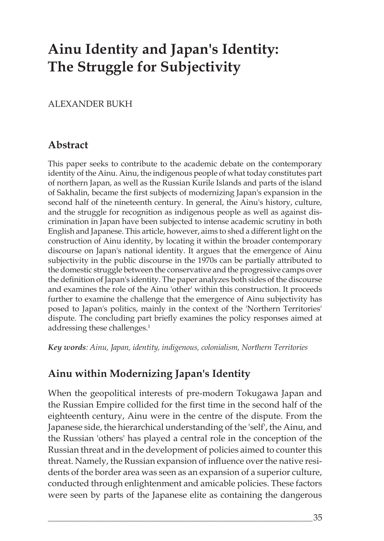# **Ainu Identity and Japan's Identity: The Struggle for Subjectivity**

### ALEXANDER BUKH

## **Abstract**

This paper seeks to contribute to the academic debate on the contemporary identity of the Ainu. Ainu, the indigenous people of what today constitutes part of northern Japan, as well as the Russian Kurile Islands and parts of the island of Sakhalin, became the first subjects of modernizing Japan's expansion in the second half of the nineteenth century. In general, the Ainu's history, culture, and the struggle for recognition as indigenous people as well as against discrimination in Japan have been subjected to intense academic scrutiny in both English and Japanese. This article, however, aims to shed a different light on the construction of Ainu identity, by locating it within the broader contemporary discourse on Japan's national identity. It argues that the emergence of Ainu subjectivity in the public discourse in the 1970s can be partially attributed to the domestic struggle between the conservative and the progressive camps over the definition of Japan's identity. The paper analyzes both sides of the discourse and examines the role of the Ainu 'other' within this construction. It proceeds further to examine the challenge that the emergence of Ainu subjectivity has posed to Japan's politics, mainly in the context of the 'Northern Territories' dispute. The concluding part briefly examines the policy responses aimed at addressing these challenges.<sup>1</sup>

*Key words: Ainu, Japan, identity, indigenous, colonialism, Northern Territories* 

# **Ainu within Modernizing Japan's Identity**

When the geopolitical interests of pre-modern Tokugawa Japan and the Russian Empire collided for the first time in the second half of the eighteenth century, Ainu were in the centre of the dispute. From the Japanese side, the hierarchical understanding of the 'self', the Ainu, and the Russian 'others' has played a central role in the conception of the Russian threat and in the development of policies aimed to counter this threat. Namely, the Russian expansion of influence over the native residents of the border area was seen as an expansion of a superior culture, conducted through enlightenment and amicable policies. These factors were seen by parts of the Japanese elite as containing the dangerous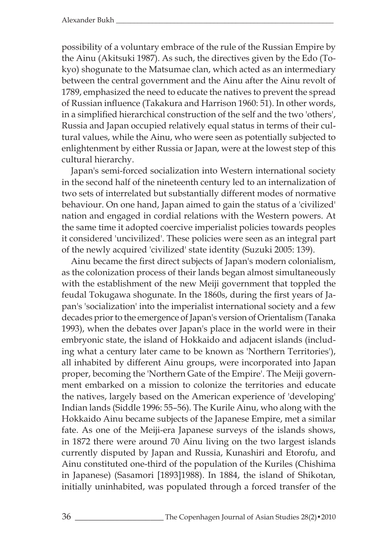possibility of a voluntary embrace of the rule of the Russian Empire by the Ainu (Akitsuki 1987). As such, the directives given by the Edo (Tokyo) shogunate to the Matsumae clan, which acted as an intermediary between the central government and the Ainu after the Ainu revolt of 1789, emphasized the need to educate the natives to prevent the spread of Russian influence (Takakura and Harrison 1960: 51). In other words, in a simplified hierarchical construction of the self and the two 'others', Russia and Japan occupied relatively equal status in terms of their cultural values, while the Ainu, who were seen as potentially subjected to enlightenment by either Russia or Japan, were at the lowest step of this cultural hierarchy.

Japan's semi-forced socialization into Western international society in the second half of the nineteenth century led to an internalization of two sets of interrelated but substantially different modes of normative behaviour. On one hand, Japan aimed to gain the status of a 'civilized' nation and engaged in cordial relations with the Western powers. At the same time it adopted coercive imperialist policies towards peoples it considered 'uncivilized'. These policies were seen as an integral part of the newly acquired 'civilized' state identity (Suzuki 2005: 139).

Ainu became the first direct subjects of Japan's modern colonialism, as the colonization process of their lands began almost simultaneously with the establishment of the new Meiji government that toppled the feudal Tokugawa shogunate. In the 1860s, during the first years of Japan's 'socialization' into the imperialist international society and a few decades prior to the emergence of Japan's version of Orientalism (Tanaka 1993), when the debates over Japan's place in the world were in their embryonic state, the island of Hokkaido and adjacent islands (including what a century later came to be known as 'Northern Territories'), all inhabited by different Ainu groups, were incorporated into Japan proper, becoming the 'Northern Gate of the Empire'. The Meiji government embarked on a mission to colonize the territories and educate the natives, largely based on the American experience of 'developing' Indian lands (Siddle 1996: 55–56). The Kurile Ainu, who along with the Hokkaido Ainu became subjects of the Japanese Empire, met a similar fate. As one of the Meiji-era Japanese surveys of the islands shows, in 1872 there were around 70 Ainu living on the two largest islands currently disputed by Japan and Russia, Kunashiri and Etorofu, and Ainu constituted one-third of the population of the Kuriles (Chishima in Japanese) (Sasamori [1893]1988). In 1884, the island of Shikotan, initially uninhabited, was populated through a forced transfer of the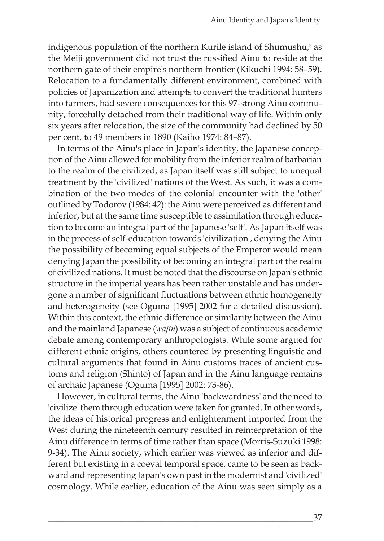indigenous population of the northern Kurile island of Shumushu, $2$  as the Meiji government did not trust the russified Ainu to reside at the northern gate of their empire's northern frontier (Kikuchi 1994: 58–59). Relocation to a fundamentally different environment, combined with policies of Japanization and attempts to convert the traditional hunters into farmers, had severe consequences for this 97-strong Ainu community, forcefully detached from their traditional way of life. Within only six years after relocation, the size of the community had declined by 50 per cent, to 49 members in 1890 (Kaiho 1974: 84–87).

In terms of the Ainu's place in Japan's identity, the Japanese conception of the Ainu allowed for mobility from the inferior realm of barbarian to the realm of the civilized, as Japan itself was still subject to unequal treatment by the 'civilized' nations of the West. As such, it was a combination of the two modes of the colonial encounter with the 'other' outlined by Todorov (1984: 42): the Ainu were perceived as different and inferior, but at the same time susceptible to assimilation through education to become an integral part of the Japanese 'self'. As Japan itself was in the process of self-education towards 'civilization', denying the Ainu the possibility of becoming equal subjects of the Emperor would mean denying Japan the possibility of becoming an integral part of the realm of civilized nations. It must be noted that the discourse on Japan's ethnic structure in the imperial years has been rather unstable and has undergone a number of significant fluctuations between ethnic homogeneity and heterogeneity (see Oguma [1995] 2002 for a detailed discussion). Within this context, the ethnic difference or similarity between the Ainu and the mainland Japanese (*wajin*) was a subject of continuous academic debate among contemporary anthropologists. While some argued for different ethnic origins, others countered by presenting linguistic and cultural arguments that found in Ainu customs traces of ancient customs and religion (Shintō) of Japan and in the Ainu language remains of archaic Japanese (Oguma [1995] 2002: 73-86).

However, in cultural terms, the Ainu 'backwardness' and the need to 'civilize' them through education were taken for granted. In other words, the ideas of historical progress and enlightenment imported from the West during the nineteenth century resulted in reinterpretation of the Ainu difference in terms of time rather than space (Morris-Suzuki 1998: 9-34). The Ainu society, which earlier was viewed as inferior and different but existing in a coeval temporal space, came to be seen as backward and representing Japan's own past in the modernist and 'civilized' cosmology. While earlier, education of the Ainu was seen simply as a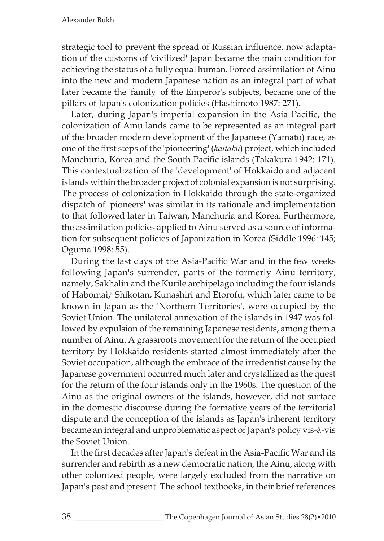strategic tool to prevent the spread of Russian influence, now adaptation of the customs of 'civilized' Japan became the main condition for achieving the status of a fully equal human. Forced assimilation of Ainu into the new and modern Japanese nation as an integral part of what later became the 'family' of the Emperor's subjects, became one of the pillars of Japan's colonization policies (Hashimoto 1987: 271).

Later, during Japan's imperial expansion in the Asia Pacific, the colonization of Ainu lands came to be represented as an integral part of the broader modern development of the Japanese (Yamato) race, as one of the first steps of the 'pioneering' (*kaitaku*) project, which included Manchuria, Korea and the South Pacific islands (Takakura 1942: 171). This contextualization of the 'development' of Hokkaido and adjacent islands within the broader project of colonial expansion is not surprising. The process of colonization in Hokkaido through the state-organized dispatch of 'pioneers' was similar in its rationale and implementation to that followed later in Taiwan, Manchuria and Korea. Furthermore, the assimilation policies applied to Ainu served as a source of information for subsequent policies of Japanization in Korea (Siddle 1996: 145; Oguma 1998: 55).

During the last days of the Asia-Pacific War and in the few weeks following Japan's surrender, parts of the formerly Ainu territory, namely, Sakhalin and the Kurile archipelago including the four islands of Habomai,<sup>3</sup> Shikotan, Kunashiri and Etorofu, which later came to be known in Japan as the 'Northern Territories', were occupied by the Soviet Union. The unilateral annexation of the islands in 1947 was followed by expulsion of the remaining Japanese residents, among them a number of Ainu. A grassroots movement for the return of the occupied territory by Hokkaido residents started almost immediately after the Soviet occupation, although the embrace of the irredentist cause by the Japanese government occurred much later and crystallized as the quest for the return of the four islands only in the 1960s. The question of the Ainu as the original owners of the islands, however, did not surface in the domestic discourse during the formative years of the territorial dispute and the conception of the islands as Japan's inherent territory became an integral and unproblematic aspect of Japan's policy vis-à-vis the Soviet Union.

In the first decades after Japan's defeat in the Asia-Pacific War and its surrender and rebirth as a new democratic nation, the Ainu, along with other colonized people, were largely excluded from the narrative on Japan's past and present. The school textbooks, in their brief references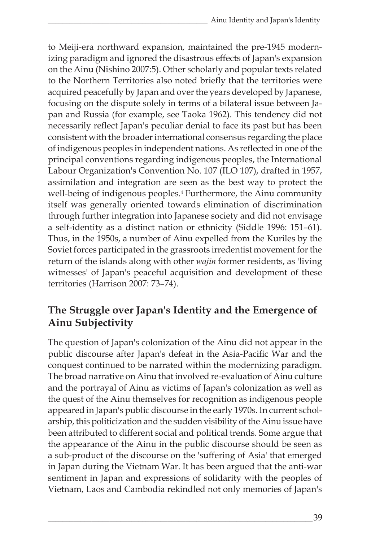to Meiji-era northward expansion, maintained the pre-1945 modernizing paradigm and ignored the disastrous effects of Japan's expansion on the Ainu (Nishino 2007:5). Other scholarly and popular texts related to the Northern Territories also noted briefly that the territories were acquired peacefully by Japan and over the years developed by Japanese, focusing on the dispute solely in terms of a bilateral issue between Japan and Russia (for example, see Taoka 1962). This tendency did not necessarily reflect Japan's peculiar denial to face its past but has been consistent with the broader international consensus regarding the place of indigenous peoples in independent nations. As reflected in one of the principal conventions regarding indigenous peoples, the International Labour Organization's Convention No. 107 (ILO 107), drafted in 1957, assimilation and integration are seen as the best way to protect the well-being of indigenous peoples.<sup>4</sup> Furthermore, the Ainu community itself was generally oriented towards elimination of discrimination through further integration into Japanese society and did not envisage a self-identity as a distinct nation or ethnicity (Siddle 1996: 151–61). Thus, in the 1950s, a number of Ainu expelled from the Kuriles by the Soviet forces participated in the grassroots irredentist movement for the return of the islands along with other *wajin* former residents, as 'living witnesses' of Japan's peaceful acquisition and development of these territories (Harrison 2007: 73–74).

# **The Struggle over Japan's Identity and the Emergence of Ainu Subjectivity**

The question of Japan's colonization of the Ainu did not appear in the public discourse after Japan's defeat in the Asia-Pacific War and the conquest continued to be narrated within the modernizing paradigm. The broad narrative on Ainu that involved re-evaluation of Ainu culture and the portrayal of Ainu as victims of Japan's colonization as well as the quest of the Ainu themselves for recognition as indigenous people appeared in Japan's public discourse in the early 1970s. In current scholarship, this politicization and the sudden visibility of the Ainu issue have been attributed to different social and political trends. Some argue that the appearance of the Ainu in the public discourse should be seen as a sub-product of the discourse on the 'suffering of Asia' that emerged in Japan during the Vietnam War. It has been argued that the anti-war sentiment in Japan and expressions of solidarity with the peoples of Vietnam, Laos and Cambodia rekindled not only memories of Japan's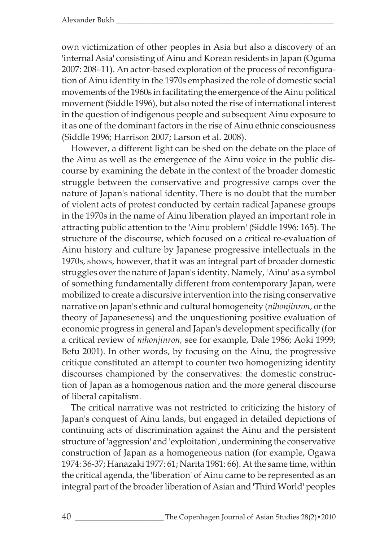own victimization of other peoples in Asia but also a discovery of an 'internal Asia' consisting of Ainu and Korean residents in Japan (Oguma 2007: 208–11). An actor-based exploration of the process of reconfiguration of Ainu identity in the 1970s emphasized the role of domestic social movements of the 1960s in facilitating the emergence of the Ainu political movement (Siddle 1996), but also noted the rise of international interest in the question of indigenous people and subsequent Ainu exposure to it as one of the dominant factors in the rise of Ainu ethnic consciousness (Siddle 1996; Harrison 2007; Larson et al. 2008).

However, a different light can be shed on the debate on the place of the Ainu as well as the emergence of the Ainu voice in the public discourse by examining the debate in the context of the broader domestic struggle between the conservative and progressive camps over the nature of Japan's national identity. There is no doubt that the number of violent acts of protest conducted by certain radical Japanese groups in the 1970s in the name of Ainu liberation played an important role in attracting public attention to the 'Ainu problem' (Siddle 1996: 165). The structure of the discourse, which focused on a critical re-evaluation of Ainu history and culture by Japanese progressive intellectuals in the 1970s, shows, however, that it was an integral part of broader domestic struggles over the nature of Japan's identity. Namely, 'Ainu' as a symbol of something fundamentally different from contemporary Japan, were mobilized to create a discursive intervention into the rising conservative narrative on Japan's ethnic and cultural homogeneity (*nihonjinron*, or the theory of Japaneseness) and the unquestioning positive evaluation of economic progress in general and Japan's development specifically (for a critical review of *nihonjinron,* see for example, Dale 1986; Aoki 1999; Befu 2001). In other words, by focusing on the Ainu, the progressive critique constituted an attempt to counter two homogenizing identity discourses championed by the conservatives: the domestic construction of Japan as a homogenous nation and the more general discourse of liberal capitalism.

The critical narrative was not restricted to criticizing the history of Japan's conquest of Ainu lands, but engaged in detailed depictions of continuing acts of discrimination against the Ainu and the persistent structure of 'aggression' and 'exploitation', undermining the conservative construction of Japan as a homogeneous nation (for example, Ogawa 1974: 36-37; Hanazaki 1977: 61; Narita 1981: 66). At the same time, within the critical agenda, the 'liberation' of Ainu came to be represented as an integral part of the broader liberation of Asian and 'Third World' peoples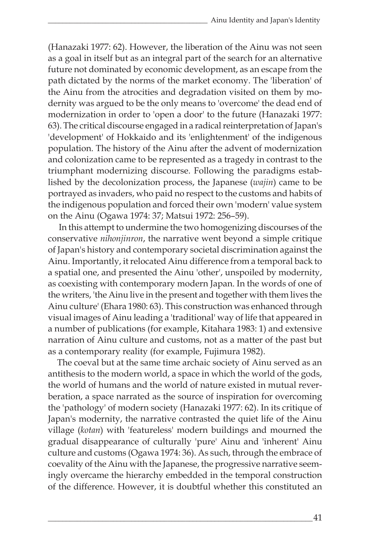(Hanazaki 1977: 62). However, the liberation of the Ainu was not seen as a goal in itself but as an integral part of the search for an alternative future not dominated by economic development, as an escape from the path dictated by the norms of the market economy. The 'liberation' of the Ainu from the atrocities and degradation visited on them by modernity was argued to be the only means to 'overcome' the dead end of modernization in order to 'open a door' to the future (Hanazaki 1977: 63). The critical discourse engaged in a radical reinterpretation of Japan's 'development' of Hokkaido and its 'enlightenment' of the indigenous population. The history of the Ainu after the advent of modernization and colonization came to be represented as a tragedy in contrast to the triumphant modernizing discourse. Following the paradigms established by the decolonization process, the Japanese (*wajin*) came to be portrayed as invaders, who paid no respect to the customs and habits of the indigenous population and forced their own 'modern' value system on the Ainu (Ogawa 1974: 37; Matsui 1972: 256–59).

 In this attempt to undermine the two homogenizing discourses of the conservative *nihonjinron*, the narrative went beyond a simple critique of Japan's history and contemporary societal discrimination against the Ainu. Importantly, it relocated Ainu difference from a temporal back to a spatial one, and presented the Ainu 'other', unspoiled by modernity, as coexisting with contemporary modern Japan. In the words of one of the writers, 'the Ainu live in the present and together with them lives the Ainu culture' (Ehara 1980: 63). This construction was enhanced through visual images of Ainu leading a 'traditional' way of life that appeared in a number of publications (for example, Kitahara 1983: 1) and extensive narration of Ainu culture and customs, not as a matter of the past but as a contemporary reality (for example, Fujimura 1982).

The coeval but at the same time archaic society of Ainu served as an antithesis to the modern world, a space in which the world of the gods, the world of humans and the world of nature existed in mutual reverberation, a space narrated as the source of inspiration for overcoming the 'pathology' of modern society (Hanazaki 1977: 62). In its critique of Japan's modernity, the narrative contrasted the quiet life of the Ainu village (*kotan*) with 'featureless' modern buildings and mourned the gradual disappearance of culturally 'pure' Ainu and 'inherent' Ainu culture and customs (Ogawa 1974: 36). As such, through the embrace of coevality of the Ainu with the Japanese, the progressive narrative seemingly overcame the hierarchy embedded in the temporal construction of the difference. However, it is doubtful whether this constituted an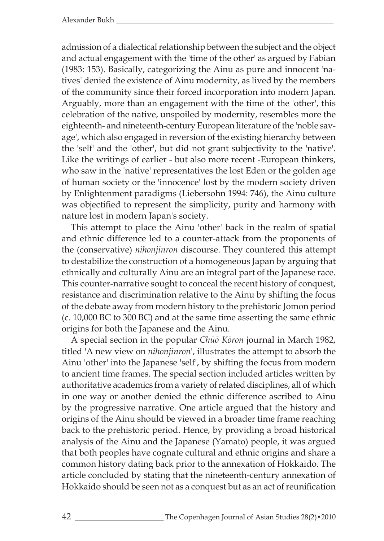admission of a dialectical relationship between the subject and the object and actual engagement with the 'time of the other' as argued by Fabian (1983: 153). Basically, categorizing the Ainu as pure and innocent 'natives' denied the existence of Ainu modernity, as lived by the members of the community since their forced incorporation into modern Japan. Arguably, more than an engagement with the time of the 'other', this celebration of the native, unspoiled by modernity, resembles more the eighteenth- and nineteenth-century European literature of the 'noble savage', which also engaged in reversion of the existing hierarchy between the 'self' and the 'other', but did not grant subjectivity to the 'native'. Like the writings of earlier - but also more recent -European thinkers, who saw in the 'native' representatives the lost Eden or the golden age of human society or the 'innocence' lost by the modern society driven by Enlightenment paradigms (Liebersohn 1994: 746), the Ainu culture was objectified to represent the simplicity, purity and harmony with nature lost in modern Japan's society.

This attempt to place the Ainu 'other' back in the realm of spatial and ethnic difference led to a counter-attack from the proponents of the (conservative) *nihonjinron* discourse. They countered this attempt to destabilize the construction of a homogeneous Japan by arguing that ethnically and culturally Ainu are an integral part of the Japanese race. This counter-narrative sought to conceal the recent history of conquest, resistance and discrimination relative to the Ainu by shifting the focus of the debate away from modern history to the prehistoric Jōmon period (c. 10,000 BC to 300 BC) and at the same time asserting the same ethnic origins for both the Japanese and the Ainu.

A special section in the popular *Chūō Kōron* journal in March 1982, titled 'A new view on *nihonjinron*', illustrates the attempt to absorb the Ainu 'other' into the Japanese 'self', by shifting the focus from modern to ancient time frames. The special section included articles written by authoritative academics from a variety of related disciplines, all of which in one way or another denied the ethnic difference ascribed to Ainu by the progressive narrative. One article argued that the history and origins of the Ainu should be viewed in a broader time frame reaching back to the prehistoric period. Hence, by providing a broad historical analysis of the Ainu and the Japanese (Yamato) people, it was argued that both peoples have cognate cultural and ethnic origins and share a common history dating back prior to the annexation of Hokkaido. The article concluded by stating that the nineteenth-century annexation of Hokkaido should be seen not as a conquest but as an act of reunification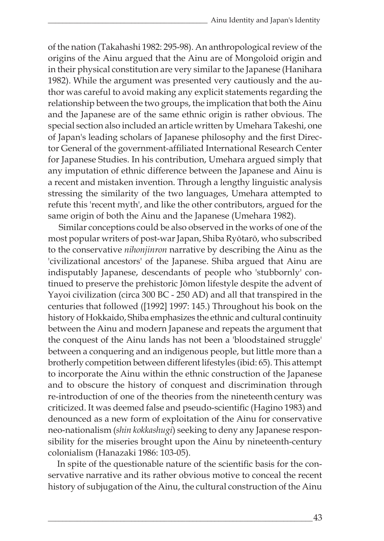of the nation (Takahashi 1982: 295-98). An anthropological review of the origins of the Ainu argued that the Ainu are of Mongoloid origin and in their physical constitution are very similar to the Japanese (Hanihara 1982). While the argument was presented very cautiously and the author was careful to avoid making any explicit statements regarding the relationship between the two groups, the implication that both the Ainu and the Japanese are of the same ethnic origin is rather obvious. The special section also included an article written by Umehara Takeshi, one of Japan's leading scholars of Japanese philosophy and the first Director General of the government-affiliated International Research Center for Japanese Studies. In his contribution, Umehara argued simply that any imputation of ethnic difference between the Japanese and Ainu is a recent and mistaken invention. Through a lengthy linguistic analysis stressing the similarity of the two languages, Umehara attempted to refute this 'recent myth', and like the other contributors, argued for the same origin of both the Ainu and the Japanese (Umehara 1982).

 Similar conceptions could be also observed in the works of one of the most popular writers of post-war Japan, Shiba Ryōtarō, who subscribed to the conservative *nihonjinron* narrative by describing the Ainu as the 'civilizational ancestors' of the Japanese. Shiba argued that Ainu are indisputably Japanese, descendants of people who 'stubbornly' continued to preserve the prehistoric Jōmon lifestyle despite the advent of Yayoi civilization (circa 300 BC - 250 AD) and all that transpired in the centuries that followed ([1992] 1997: 145.) Throughout his book on the history of Hokkaido, Shiba emphasizes the ethnic and cultural continuity between the Ainu and modern Japanese and repeats the argument that the conquest of the Ainu lands has not been a 'bloodstained struggle' between a conquering and an indigenous people, but little more than a brotherly competition between different lifestyles (ibid: 65). This attempt to incorporate the Ainu within the ethnic construction of the Japanese and to obscure the history of conquest and discrimination through re-introduction of one of the theories from the nineteenth century was criticized. It was deemed false and pseudo-scientific (Hagino 1983) and denounced as a new form of exploitation of the Ainu for conservative neo-nationalism (*shin kokkashugi*) seeking to deny any Japanese responsibility for the miseries brought upon the Ainu by nineteenth-century colonialism (Hanazaki 1986: 103-05).

In spite of the questionable nature of the scientific basis for the conservative narrative and its rather obvious motive to conceal the recent history of subjugation of the Ainu, the cultural construction of the Ainu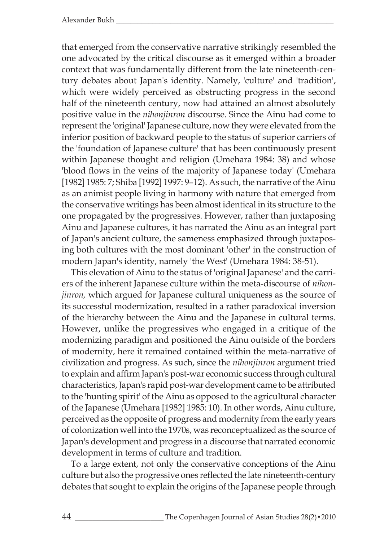that emerged from the conservative narrative strikingly resembled the one advocated by the critical discourse as it emerged within a broader context that was fundamentally different from the late nineteenth-century debates about Japan's identity. Namely, 'culture' and 'tradition', which were widely perceived as obstructing progress in the second half of the nineteenth century, now had attained an almost absolutely positive value in the *nihonjinron* discourse. Since the Ainu had come to represent the 'original' Japanese culture, now they were elevated from the inferior position of backward people to the status of superior carriers of the 'foundation of Japanese culture' that has been continuously present within Japanese thought and religion (Umehara 1984: 38) and whose 'blood flows in the veins of the majority of Japanese today' (Umehara [1982] 1985: 7; Shiba [1992] 1997: 9–12). As such, the narrative of the Ainu as an animist people living in harmony with nature that emerged from the conservative writings has been almost identical in its structure to the one propagated by the progressives. However, rather than juxtaposing Ainu and Japanese cultures, it has narrated the Ainu as an integral part of Japan's ancient culture, the sameness emphasized through juxtaposing both cultures with the most dominant 'other' in the construction of modern Japan's identity, namely 'the West' (Umehara 1984: 38-51).

This elevation of Ainu to the status of 'original Japanese' and the carriers of the inherent Japanese culture within the meta-discourse of *nihonjinron,* which argued for Japanese cultural uniqueness as the source of its successful modernization, resulted in a rather paradoxical inversion of the hierarchy between the Ainu and the Japanese in cultural terms. However, unlike the progressives who engaged in a critique of the modernizing paradigm and positioned the Ainu outside of the borders of modernity, here it remained contained within the meta-narrative of civilization and progress. As such, since the *nihonjinron* argument tried to explain and affirm Japan's post-war economic success through cultural characteristics, Japan's rapid post-war development came to be attributed to the 'hunting spirit' of the Ainu as opposed to the agricultural character of the Japanese (Umehara [1982] 1985: 10). In other words, Ainu culture, perceived as the opposite of progress and modernity from the early years of colonization well into the 1970s, was reconceptualized as the source of Japan's development and progress in a discourse that narrated economic development in terms of culture and tradition.

To a large extent, not only the conservative conceptions of the Ainu culture but also the progressive ones reflected the late nineteenth-century debates that sought to explain the origins of the Japanese people through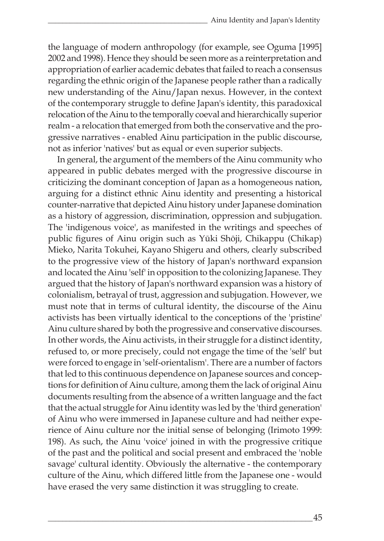the language of modern anthropology (for example, see Oguma [1995] 2002 and 1998). Hence they should be seen more as a reinterpretation and appropriation of earlier academic debates that failed to reach a consensus regarding the ethnic origin of the Japanese people rather than a radically new understanding of the Ainu/Japan nexus. However, in the context of the contemporary struggle to define Japan's identity, this paradoxical relocation of the Ainu to the temporally coeval and hierarchically superior realm - a relocation that emerged from both the conservative and the progressive narratives - enabled Ainu participation in the public discourse, not as inferior 'natives' but as equal or even superior subjects.

In general, the argument of the members of the Ainu community who appeared in public debates merged with the progressive discourse in criticizing the dominant conception of Japan as a homogeneous nation, arguing for a distinct ethnic Ainu identity and presenting a historical counter-narrative that depicted Ainu history under Japanese domination as a history of aggression, discrimination, oppression and subjugation. The 'indigenous voice', as manifested in the writings and speeches of public figures of Ainu origin such as Yūki Shōji, Chikappu (Chikap) Mieko, Narita Tokuhei, Kayano Shigeru and others, clearly subscribed to the progressive view of the history of Japan's northward expansion and located the Ainu 'self' in opposition to the colonizing Japanese. They argued that the history of Japan's northward expansion was a history of colonialism, betrayal of trust, aggression and subjugation. However, we must note that in terms of cultural identity, the discourse of the Ainu activists has been virtually identical to the conceptions of the 'pristine' Ainu culture shared by both the progressive and conservative discourses. In other words, the Ainu activists, in their struggle for a distinct identity, refused to, or more precisely, could not engage the time of the 'self' but were forced to engage in 'self-orientalism'. There are a number of factors that led to this continuous dependence on Japanese sources and conceptions for definition of Ainu culture, among them the lack of original Ainu documents resulting from the absence of a written language and the fact that the actual struggle for Ainu identity was led by the 'third generation' of Ainu who were immersed in Japanese culture and had neither experience of Ainu culture nor the initial sense of belonging (Irimoto 1999: 198). As such, the Ainu 'voice' joined in with the progressive critique of the past and the political and social present and embraced the 'noble savage' cultural identity. Obviously the alternative - the contemporary culture of the Ainu, which differed little from the Japanese one - would have erased the very same distinction it was struggling to create.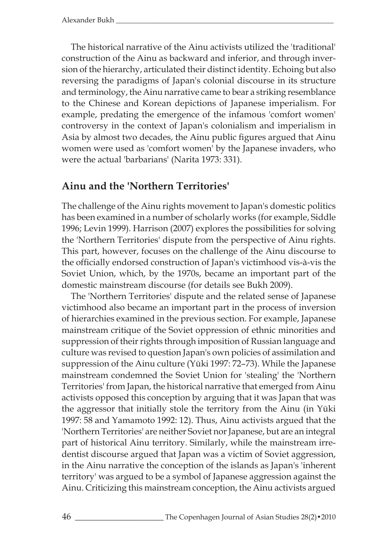The historical narrative of the Ainu activists utilized the 'traditional' construction of the Ainu as backward and inferior, and through inversion of the hierarchy, articulated their distinct identity. Echoing but also reversing the paradigms of Japan's colonial discourse in its structure and terminology, the Ainu narrative came to bear a striking resemblance to the Chinese and Korean depictions of Japanese imperialism. For example, predating the emergence of the infamous 'comfort women' controversy in the context of Japan's colonialism and imperialism in Asia by almost two decades, the Ainu public figures argued that Ainu women were used as 'comfort women' by the Japanese invaders, who were the actual 'barbarians' (Narita 1973: 331).

## **Ainu and the 'Northern Territories'**

The challenge of the Ainu rights movement to Japan's domestic politics has been examined in a number of scholarly works (for example, Siddle 1996; Levin 1999). Harrison (2007) explores the possibilities for solving the 'Northern Territories' dispute from the perspective of Ainu rights. This part, however, focuses on the challenge of the Ainu discourse to the officially endorsed construction of Japan's victimhood vis-à-vis the Soviet Union, which, by the 1970s, became an important part of the domestic mainstream discourse (for details see Bukh 2009).

The 'Northern Territories' dispute and the related sense of Japanese victimhood also became an important part in the process of inversion of hierarchies examined in the previous section. For example, Japanese mainstream critique of the Soviet oppression of ethnic minorities and suppression of their rights through imposition of Russian language and culture was revised to question Japan's own policies of assimilation and suppression of the Ainu culture (Yūki 1997: 72–73). While the Japanese mainstream condemned the Soviet Union for 'stealing' the 'Northern Territories' from Japan, the historical narrative that emerged from Ainu activists opposed this conception by arguing that it was Japan that was the aggressor that initially stole the territory from the Ainu (in Yūki 1997: 58 and Yamamoto 1992: 12). Thus, Ainu activists argued that the 'Northern Territories' are neither Soviet nor Japanese, but are an integral part of historical Ainu territory. Similarly, while the mainstream irredentist discourse argued that Japan was a victim of Soviet aggression, in the Ainu narrative the conception of the islands as Japan's 'inherent territory' was argued to be a symbol of Japanese aggression against the Ainu. Criticizing this mainstream conception, the Ainu activists argued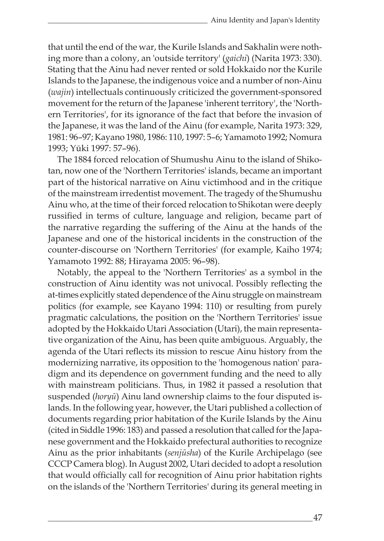that until the end of the war, the Kurile Islands and Sakhalin were nothing more than a colony, an 'outside territory' (*gaichi*) (Narita 1973: 330). Stating that the Ainu had never rented or sold Hokkaido nor the Kurile Islands to the Japanese, the indigenous voice and a number of non-Ainu (*wajin*) intellectuals continuously criticized the government-sponsored movement for the return of the Japanese 'inherent territory', the 'Northern Territories', for its ignorance of the fact that before the invasion of the Japanese, it was the land of the Ainu (for example, Narita 1973: 329, 1981: 96–97; Kayano 1980, 1986: 110, 1997: 5–6; Yamamoto 1992; Nomura 1993; Yūki 1997: 57–96).

The 1884 forced relocation of Shumushu Ainu to the island of Shikotan, now one of the 'Northern Territories' islands, became an important part of the historical narrative on Ainu victimhood and in the critique of the mainstream irredentist movement. The tragedy of the Shumushu Ainu who, at the time of their forced relocation to Shikotan were deeply russified in terms of culture, language and religion, became part of the narrative regarding the suffering of the Ainu at the hands of the Japanese and one of the historical incidents in the construction of the counter-discourse on 'Northern Territories' (for example, Kaiho 1974; Yamamoto 1992: 88; Hirayama 2005: 96–98).

Notably, the appeal to the 'Northern Territories' as a symbol in the construction of Ainu identity was not univocal. Possibly reflecting the at-times explicitly stated dependence of the Ainu struggle on mainstream politics (for example, see Kayano 1994: 110) or resulting from purely pragmatic calculations, the position on the 'Northern Territories' issue adopted by the Hokkaido Utari Association (Utari), the main representative organization of the Ainu, has been quite ambiguous. Arguably, the agenda of the Utari reflects its mission to rescue Ainu history from the modernizing narrative, its opposition to the 'homogenous nation' paradigm and its dependence on government funding and the need to ally with mainstream politicians. Thus, in 1982 it passed a resolution that suspended (*horyū*) Ainu land ownership claims to the four disputed islands. In the following year, however, the Utari published a collection of documents regarding prior habitation of the Kurile Islands by the Ainu (cited in Siddle 1996: 183) and passed a resolution that called for the Japanese government and the Hokkaido prefectural authorities to recognize Ainu as the prior inhabitants (*senjūsha*) of the Kurile Archipelago (see CCCP Camera blog). In August 2002, Utari decided to adopt a resolution that would officially call for recognition of Ainu prior habitation rights on the islands of the 'Northern Territories' during its general meeting in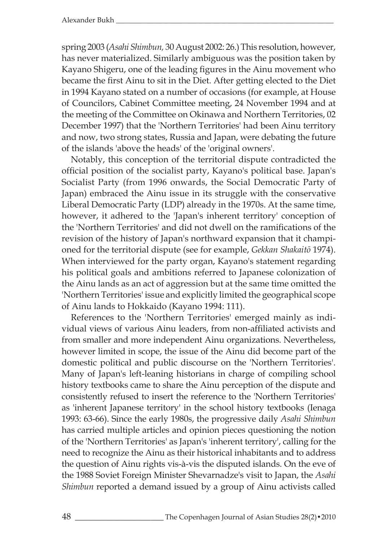spring 2003 (*Asahi Shimbun,* 30 August 2002: 26.) This resolution, however, has never materialized. Similarly ambiguous was the position taken by Kayano Shigeru, one of the leading figures in the Ainu movement who became the first Ainu to sit in the Diet. After getting elected to the Diet in 1994 Kayano stated on a number of occasions (for example, at House of Councilors, Cabinet Committee meeting, 24 November 1994 and at the meeting of the Committee on Okinawa and Northern Territories, 02 December 1997) that the 'Northern Territories' had been Ainu territory and now, two strong states, Russia and Japan, were debating the future of the islands 'above the heads' of the 'original owners'.

Notably, this conception of the territorial dispute contradicted the official position of the socialist party, Kayano's political base. Japan's Socialist Party (from 1996 onwards, the Social Democratic Party of Japan) embraced the Ainu issue in its struggle with the conservative Liberal Democratic Party (LDP) already in the 1970s. At the same time, however, it adhered to the 'Japan's inherent territory' conception of the 'Northern Territories' and did not dwell on the ramifications of the revision of the history of Japan's northward expansion that it championed for the territorial dispute (see for example, *Gekkan Shakaitō* 1974). When interviewed for the party organ, Kayano's statement regarding his political goals and ambitions referred to Japanese colonization of the Ainu lands as an act of aggression but at the same time omitted the 'Northern Territories' issue and explicitly limited the geographical scope of Ainu lands to Hokkaido (Kayano 1994: 111).

References to the 'Northern Territories' emerged mainly as individual views of various Ainu leaders, from non-affiliated activists and from smaller and more independent Ainu organizations. Nevertheless, however limited in scope, the issue of the Ainu did become part of the domestic political and public discourse on the 'Northern Territories'. Many of Japan's left-leaning historians in charge of compiling school history textbooks came to share the Ainu perception of the dispute and consistently refused to insert the reference to the 'Northern Territories' as 'inherent Japanese territory' in the school history textbooks (Ienaga 1993: 63-66). Since the early 1980s, the progressive daily *Asahi Shimbun* has carried multiple articles and opinion pieces questioning the notion of the 'Northern Territories' as Japan's 'inherent territory', calling for the need to recognize the Ainu as their historical inhabitants and to address the question of Ainu rights vis-à-vis the disputed islands. On the eve of the 1988 Soviet Foreign Minister Shevarnadze's visit to Japan, the *Asahi Shimbun* reported a demand issued by a group of Ainu activists called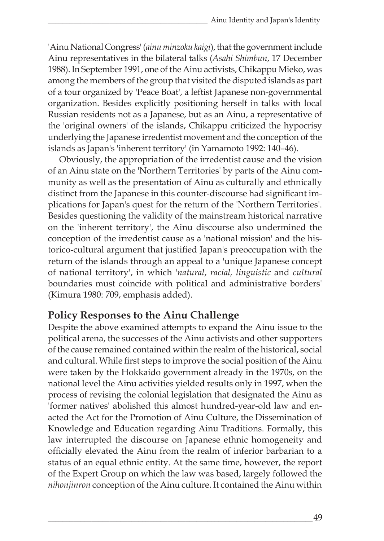'Ainu National Congress' (*ainu minzoku kaigi*), that the government include Ainu representatives in the bilateral talks (*Asahi Shimbun*, 17 December 1988). In September 1991, one of the Ainu activists, Chikappu Mieko, was among the members of the group that visited the disputed islands as part of a tour organized by 'Peace Boat', a leftist Japanese non-governmental organization. Besides explicitly positioning herself in talks with local Russian residents not as a Japanese, but as an Ainu, a representative of the 'original owners' of the islands, Chikappu criticized the hypocrisy underlying the Japanese irredentist movement and the conception of the islands as Japan's 'inherent territory' (in Yamamoto 1992: 140–46).

 Obviously, the appropriation of the irredentist cause and the vision of an Ainu state on the 'Northern Territories' by parts of the Ainu community as well as the presentation of Ainu as culturally and ethnically distinct from the Japanese in this counter-discourse had significant implications for Japan's quest for the return of the 'Northern Territories'. Besides questioning the validity of the mainstream historical narrative on the 'inherent territory', the Ainu discourse also undermined the conception of the irredentist cause as a 'national mission' and the historico-cultural argument that justified Japan's preoccupation with the return of the islands through an appeal to a 'unique Japanese concept of national territory', in which '*natural*, *racial, linguistic* and *cultural* boundaries must coincide with political and administrative borders' (Kimura 1980: 709, emphasis added).

# **Policy Responses to the Ainu Challenge**

Despite the above examined attempts to expand the Ainu issue to the political arena, the successes of the Ainu activists and other supporters of the cause remained contained within the realm of the historical, social and cultural. While first steps to improve the social position of the Ainu were taken by the Hokkaido government already in the 1970s, on the national level the Ainu activities yielded results only in 1997, when the process of revising the colonial legislation that designated the Ainu as 'former natives' abolished this almost hundred-year-old law and enacted the Act for the Promotion of Ainu Culture, the Dissemination of Knowledge and Education regarding Ainu Traditions. Formally, this law interrupted the discourse on Japanese ethnic homogeneity and officially elevated the Ainu from the realm of inferior barbarian to a status of an equal ethnic entity. At the same time, however, the report of the Expert Group on which the law was based, largely followed the *nihonjinron* conception of the Ainu culture. It contained the Ainu within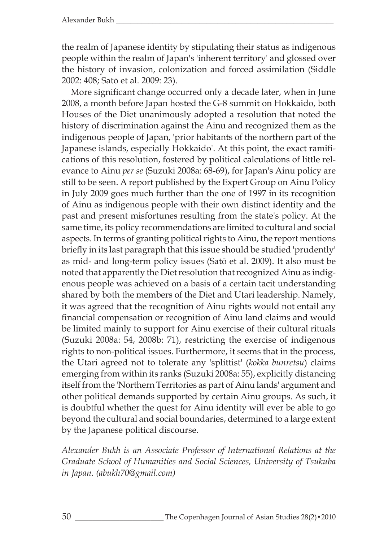the realm of Japanese identity by stipulating their status as indigenous people within the realm of Japan's 'inherent territory' and glossed over the history of invasion, colonization and forced assimilation (Siddle 2002: 408; Satō et al. 2009: 23).

More significant change occurred only a decade later, when in June 2008, a month before Japan hosted the G-8 summit on Hokkaido, both Houses of the Diet unanimously adopted a resolution that noted the history of discrimination against the Ainu and recognized them as the indigenous people of Japan, 'prior habitants of the northern part of the Japanese islands, especially Hokkaido'. At this point, the exact ramifications of this resolution, fostered by political calculations of little relevance to Ainu *per se* (Suzuki 2008a: 68-69), for Japan's Ainu policy are still to be seen. A report published by the Expert Group on Ainu Policy in July 2009 goes much further than the one of 1997 in its recognition of Ainu as indigenous people with their own distinct identity and the past and present misfortunes resulting from the state's policy. At the same time, its policy recommendations are limited to cultural and social aspects. In terms of granting political rights to Ainu, the report mentions briefly in its last paragraph that this issue should be studied 'prudently' as mid- and long-term policy issues (Satō et al. 2009). It also must be noted that apparently the Diet resolution that recognized Ainu as indigenous people was achieved on a basis of a certain tacit understanding shared by both the members of the Diet and Utari leadership. Namely, it was agreed that the recognition of Ainu rights would not entail any financial compensation or recognition of Ainu land claims and would be limited mainly to support for Ainu exercise of their cultural rituals (Suzuki 2008a: 54, 2008b: 71), restricting the exercise of indigenous rights to non-political issues. Furthermore, it seems that in the process, the Utari agreed not to tolerate any 'splittist' (*kokka bunretsu*) claims emerging from within its ranks (Suzuki 2008a: 55), explicitly distancing itself from the 'Northern Territories as part of Ainu lands' argument and other political demands supported by certain Ainu groups. As such, it is doubtful whether the quest for Ainu identity will ever be able to go beyond the cultural and social boundaries, determined to a large extent by the Japanese political discourse.

*Alexander Bukh is an Associate Professor of International Relations at the Graduate School of Humanities and Social Sciences, University of Tsukuba in Japan. (abukh70@gmail.com)*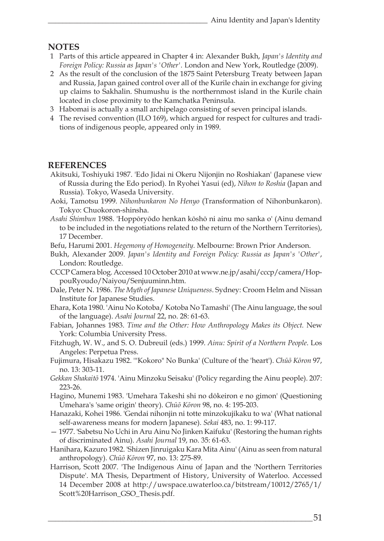#### **NOTES**

- 1 Parts of this article appeared in Chapter 4 in: Alexander Bukh, *Japan's Identity and Foreign Policy: Russia as Japan's 'Other'.* London and New York, Routledge (2009).
- 2 As the result of the conclusion of the 1875 Saint Petersburg Treaty between Japan and Russia, Japan gained control over all of the Kurile chain in exchange for giving up claims to Sakhalin. Shumushu is the northernmost island in the Kurile chain located in close proximity to the Kamchatka Peninsula.
- 3 Habomai is actually a small archipelago consisting of seven principal islands.
- 4 The revised convention (ILO 169), which argued for respect for cultures and traditions of indigenous people, appeared only in 1989.

### **REFERENCES**

- Akitsuki, Toshiyuki 1987. 'Edo Jidai ni Okeru Nijonjin no Roshiakan' (Japanese view of Russia during the Edo period). In Ryohei Yasui (ed), *Nihon to Roshia* (Japan and Russia)*.* Tokyo, Waseda University.
- Aoki, Tamotsu 1999. *Nihonbunkaron No Henyo* (Transformation of Nihonbunkaron). Tokyo: Chuokoron-shinsha.
- *Asahi Shimbun* 1988. 'Hoppōryōdo henkan kōshō ni ainu mo sanka o' (Ainu demand to be included in the negotiations related to the return of the Northern Territories), 17 December.
- Befu, Harumi 2001. *Hegemony of Homogeneity.* Melbourne: Brown Prior Anderson.
- Bukh, Alexander 2009. *Japan's Identity and Foreign Policy: Russia as Japan's 'Other'*, London: Routledge.
- CCCP Camera blog. Accessed 10 October 2010 at www.ne.jp/asahi/cccp/camera/HoppouRyoudo/Naiyou/Senjuuminn.htm.
- Dale, Peter N. 1986. *The Myth of Japanese Uniqueness*. Sydney: Croom Helm and Nissan Institute for Japanese Studies.
- Ehara, Kota 1980. 'Ainu No Kotoba/ Kotoba No Tamashi' (The Ainu language, the soul of the language). *Asahi Journal* 22, no. 28: 61-63.
- Fabian, Johannes 1983. *Time and the Other: How Anthropology Makes its Object.* New York: Columbia University Press.
- Fitzhugh, W. W., and S. O. Dubreuil (eds.) 1999. *Ainu: Spirit of a Northern People*. Los Angeles: Perpetua Press.
- Fujimura, Hisakazu 1982. '"Kokoro" No Bunka' (Culture of the 'heart'). *Chūō Kōron* 97, no. 13: 303-11.
- *Gekkan Shakaitō* 1974. 'Ainu Minzoku Seisaku' (Policy regarding the Ainu people). 207: 223-26.
- Hagino, Munemi 1983. 'Umehara Takeshi shi no dōkeiron e no gimon' (Questioning Umehara's 'same origin' theory). *Chūō Kōron* 98, no. 4: 195-203.
- Hanazaki, Kohei 1986. 'Gendai nihonjin ni totte minzokujikaku to wa' (What national self-awareness means for modern Japanese). *Sekai* 483, no. 1: 99-117.
- 1977. 'Sabetsu No Uchi in Aru Ainu No Jinken Kaifuku' (Restoring the human rights of discriminated Ainu). *Asahi Journal* 19, no. 35: 61-63.
- Hanihara, Kazuro 1982. 'Shizen Jinruigaku Kara Mita Ainu' (Ainu as seen from natural anthropology). *Chūō Kōron* 97, no. 13: 275-89.
- Harrison, Scott 2007. 'The Indigenous Ainu of Japan and the 'Northern Territories Dispute'. MA Thesis, Department of History, University of Waterloo. Accessed 14 December 2008 at http://uwspace.uwaterloo.ca/bitstream/10012/2765/1/ Scott%20Harrison\_GSO\_Thesis.pdf.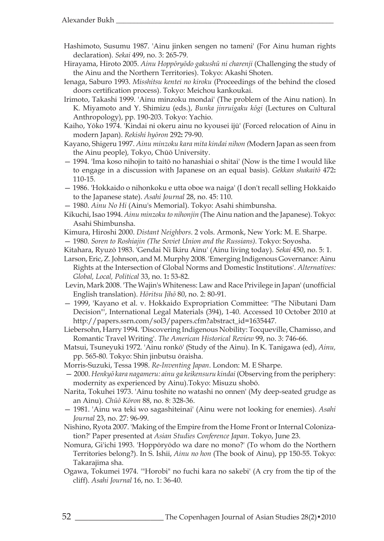- Hashimoto, Susumu 1987. 'Ainu jinken sengen no tameni' (For Ainu human rights declaration). *Sekai* 499, no. 3: 265-79.
- Hirayama, Hiroto 2005. *Ainu Hoppōryōdo gakushū ni charenji* (Challenging the study of the Ainu and the Northern Territories). Tokyo: Akashi Shoten.
- Ienaga, Saburo 1993. *Misshitsu kentei no kiroku* (Proceedings of the behind the closed doors certification process). Tokyo: Meichou kankoukai.
- Irimoto, Takashi 1999. 'Ainu minzoku mondai' (The problem of the Ainu nation). In K. Miyamoto and Y. Shimizu (eds.), *Bunka jinruigaku kōgi* (Lectures on Cultural Anthropology), pp. 190-203. Tokyo: Yachio.
- Kaiho, Yōko 1974. 'Kindai ni okeru ainu no kyousei ijū' (Forced relocation of Ainu in modern Japan). *Rekishi hyōron* 292**:** 79-90.
- Kayano, Shigeru 1997. *Ainu minzoku kara mita kindai nihon (*Modern Japan as seen from the Ainu people)*,* Tokyo, Chūō University.
- 1994. 'Ima koso nihojin to taitō no hanashiai o shitai' (Now is the time I would like to engage in a discussion with Japanese on an equal basis). *Gekkan shakaitō* 472**:** 110-15.
- 1986. 'Hokkaido o nihonkoku e utta oboe wa naiga' (I don't recall selling Hokkaido to the Japanese state). *Asahi Journal* 28, no. 45: 110.
- 1980. *Ainu No Hi* (Ainu's Memorial). Tokyo: Asahi shimbunsha.
- Kikuchi, Isao 1994. *Ainu minzoku to nihonjin* (The Ainu nation and the Japanese). Tokyo: Asahi Shimbunsha.
- Kimura, Hiroshi 2000. *Distant Neighbors*. 2 vols. Armonk, New York: M. E. Sharpe.
- 1980. *Soren to Roshiajin (The Soviet Union and the Russians)*. Tokyo: Soyosha.
- Kitahara, Ryuzō 1983. 'Gendai Ni Ikiru Ainu' (Ainu living today). *Sekai* 450, no. 5: 1.
- Larson, Eric, Z. Johnson, and M. Murphy 2008. 'Emerging Indigenous Governance: Ainu Rights at the Intersection of Global Norms and Domestic Institutions'. *Alternatives: Global, Local, Political* 33, no. 1**:** 53-82.
- Levin, Mark 2008. 'The Wajin's Whiteness: Law and Race Privilege in Japan' (unofficial English translation). *Hōritsu Jihō* 80, no. 2: 80-91.
- 1999, 'Kayano et al. v. Hokkaido Expropriation Committee: "The Nibutani Dam Decision"', International Legal Materials (394), 1-40. Accessed 10 October 2010 at http://papers.ssrn.com/sol3/papers.cfm?abstract\_id=1635447.
- Liebersohn, Harry 1994. 'Discovering Indigenous Nobility: Tocqueville, Chamisso, and Romantic Travel Writing'. *The American Historical Review* 99, no. 3: 746-66.
- Matsui, Tsuneyuki 1972. 'Ainu ronkō' (Study of the Ainu). In K. Tanigawa (ed), *Ainu,*  pp. 565-80*.* Tokyo: Shin jinbutsu ōraisha.
- Morris-Suzuki, Tessa 1998. *Re-Inventing Japan*. London: M. E Sharpe.
- 2000. *Henkyō kara nagameru: ainu ga keikensuru kindai* (Observing from the periphery: modernity as experienced by Ainu).Tokyo: Misuzu shobō.
- Narita, Tokuhei 1973. 'Ainu toshite no watashi no onnen' (My deep-seated grudge as an Ainu). *Chūō Kōron* 88, no. 8: 328-36.
- 1981. 'Ainu wa teki wo sagashiteinai' (Ainu were not looking for enemies). *Asahi Journal* 23, no. 27: 96-99.
- Nishino, Ryota 2007. 'Making of the Empire from the Home Front or Internal Colonization?' Paper presented at *Asian Studies Conference Japan*. Tokyo, June 23.
- Nomura, Gi'ichi 1993. 'Hoppōryōdo wa dare no mono?' (To whom do the Northern Territories belong?). In S. Ishii, *Ainu no hon* (The book of Ainu), pp 150-55. Tokyo: Takarajima sha.
- Ogawa, Tokumei 1974. '"Horobi" no fuchi kara no sakebi' (A cry from the tip of the cliff). *Asahi Journal* 16, no. 1: 36-40.